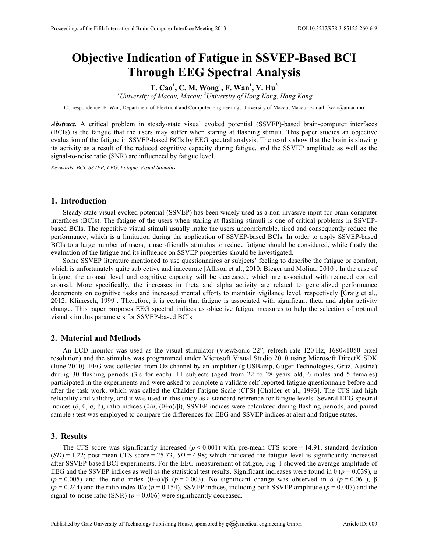# **Objective Indication of Fatigue in SSVEP-Based BCI Through EEG Spectral Analysis**

**T. Cao<sup>1</sup> , C. M. Wong<sup>1</sup> , F. Wan<sup>1</sup> , Y. Hu<sup>2</sup>**

*1 University of Macau, Macau; <sup>2</sup> University of Hong Kong, Hong Kong*

Correspondence: F. Wan, Department of Electrical and Computer Engineering, University of Macau, Macau. E-mail: fwan@umac.mo

*Abstract.* A critical problem in steady-state visual evoked potential (SSVEP)-based brain-computer interfaces (BCIs) is the fatigue that the users may suffer when staring at flashing stimuli. This paper studies an objective evaluation of the fatigue in SSVEP-based BCIs by EEG spectral analysis. The results show that the brain is slowing its activity as a result of the reduced cognitive capacity during fatigue, and the SSVEP amplitude as well as the signal-to-noise ratio (SNR) are influenced by fatigue level.

*Keywords: BCI, SSVEP, EEG, Fatigue, Visual Stimulus*

# **1. Introduction**

Steady-state visual evoked potential (SSVEP) has been widely used as a non-invasive input for brain-computer interfaces (BCIs). The fatigue of the users when staring at flashing stimuli is one of critical problems in SSVEPbased BCIs. The repetitive visual stimuli usually make the users uncomfortable, tired and consequently reduce the performance, which is a limitation during the application of SSVEP-based BCIs. In order to apply SSVEP-based BCIs to a large number of users, a user-friendly stimulus to reduce fatigue should be considered, while firstly the evaluation of the fatigue and its influence on SSVEP properties should be investigated.

Some SSVEP literature mentioned to use questionnaires or subjects' feeling to describe the fatigue or comfort, which is unfortunately quite subjective and inaccurate [Allison et al., 2010; Bieger and Molina, 2010]. In the case of fatigue, the arousal level and cognitive capacity will be decreased, which are associated with reduced cortical arousal. More specifically, the increases in theta and alpha activity are related to generalized performance decrements on cognitive tasks and increased mental efforts to maintain vigilance level, respectively [Craig et al., 2012; Klimesch, 1999]. Therefore, it is certain that fatigue is associated with significant theta and alpha activity change. This paper proposes EEG spectral indices as objective fatigue measures to help the selection of optimal visual stimulus parameters for SSVEP-based BCIs.

## **2. Material and Methods**

An LCD monitor was used as the visual stimulator (ViewSonic 22", refresh rate 120 Hz, 1680×1050 pixel resolution) and the stimulus was programmed under Microsoft Visual Studio 2010 using Microsoft DirectX SDK (June 2010). EEG was collected from Oz channel by an amplifier (g.USBamp, Guger Technologies, Graz, Austria) during 30 flashing periods (3 s for each). 11 subjects (aged from 22 to 28 years old, 6 males and 5 females) participated in the experiments and were asked to complete a validate self-reported fatigue questionnaire before and after the task work, which was called the Chalder Fatigue Scale (CFS) [Chalder et al., 1993]. The CFS had high reliability and validity, and it was used in this study as a standard reference for fatigue levels. Several EEG spectral indices (δ, θ, α, β), ratio indices (θ/α, (θ+α)/β), SSVEP indices were calculated during flashing periods, and paired sample *t* test was employed to compare the differences for EEG and SSVEP indices at alert and fatigue states.

## **3. Results**

The CFS score was significantly increased  $(p < 0.001)$  with pre-mean CFS score = 14.91, standard deviation  $(SD) = 1.22$ ; post-mean CFS score = 25.73,  $SD = 4.98$ ; which indicated the fatigue level is significantly increased after SSVEP-based BCI experiments. For the EEG measurement of fatigue, Fig. 1 showed the average amplitude of EEG and the SSVEP indices as well as the statistical test results. Significant increases were found in θ ( $p = 0.039$ ), α ( $p = 0.005$ ) and the ratio index  $(\theta + \alpha)/\beta$  ( $p = 0.003$ ). No significant change was observed in δ ( $p = 0.061$ ), β ( $p = 0.244$ ) and the ratio index  $\theta/\alpha$  ( $p = 0.154$ ). SSVEP indices, including both SSVEP amplitude ( $p = 0.007$ ) and the signal-to-noise ratio (SNR) ( $p = 0.006$ ) were significantly decreased.